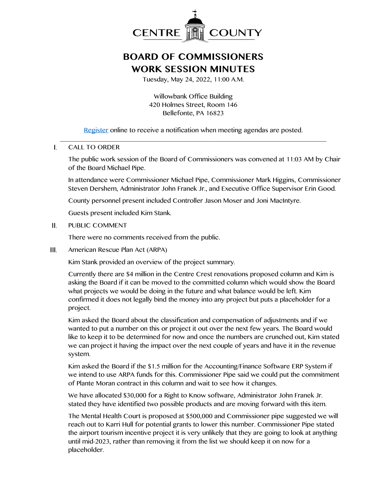

## **BOARD OF COMMISSIONERS WORK SESSION MINUTES**

Tuesday, May 24, 2022, 11:00 A.M.

Willowbank Office Building 420 Holmes Street, Room 146 Bellefonte, PA 16823

[Register](http://www.centrecountypa.gov/AgendaCenter) online to receive a notification when meeting agendas are posted. \_\_\_\_\_\_\_\_\_\_\_\_\_\_\_\_\_\_\_\_\_\_\_\_\_\_\_\_\_\_\_\_\_\_\_\_\_\_\_\_\_\_\_\_\_\_\_\_\_\_\_\_\_\_\_\_\_\_\_\_\_\_\_\_\_\_\_\_\_\_\_\_\_\_\_\_\_\_

## CALL TO ORDER L

The public work session of the Board of Commissioners was convened at 11:03 AM by Chair of the Board Michael Pipe.

In attendance were Commissioner Michael Pipe, Commissioner Mark Higgins, Commissioner Steven Dershem, Administrator John Franek Jr., and Executive Office Supervisor Erin Good.

County personnel present included Controller Jason Moser and Joni MacIntyre.

Guests present included Kim Stank.

## Н. PUBLIC COMMENT

There were no comments received from the public.

Ш. American Rescue Plan Act (ARPA)

Kim Stank provided an overview of the project summary.

Currently there are \$4 million in the Centre Crest renovations proposed column and Kim is asking the Board if it can be moved to the committed column which would show the Board what projects we would be doing in the future and what balance would be left. Kim confirmed it does not legally bind the money into any project but puts a placeholder for a project.

Kim asked the Board about the classification and compensation of adjustments and if we wanted to put a number on this or project it out over the next few years. The Board would like to keep it to be determined for now and once the numbers are crunched out, Kim stated we can project it having the impact over the next couple of years and have it in the revenue system.

Kim asked the Board if the \$1.5 million for the Accounting/Finance Software ERP System if we intend to use ARPA funds for this. Commissioner Pipe said we could put the commitment of Plante Moran contract in this column and wait to see how it changes.

We have allocated \$30,000 for a Right to Know software, Administrator John Franek Jr. stated they have identified two possible products and are moving forward with this item.

The Mental Health Court is proposed at \$500,000 and Commissioner pipe suggested we will reach out to Karri Hull for potential grants to lower this number. Commissioner Pipe stated the airport tourism incentive project it is very unlikely that they are going to look at anything until mid-2023, rather than removing it from the list we should keep it on now for a placeholder.